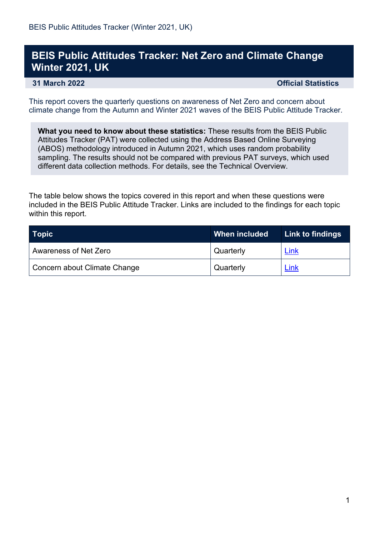## **BEIS Public Attitudes Tracker: Net Zero and Climate Change Winter 2021, UK**

**31 March 2022 Official Statistics** 

This report covers the quarterly questions on awareness of Net Zero and concern about climate change from the Autumn and Winter 2021 waves of the BEIS Public Attitude Tracker.

**What you need to know about these statistics:** These results from the BEIS Public Attitudes Tracker (PAT) were collected using the Address Based Online Surveying (ABOS) methodology introduced in Autumn 2021, which uses random probability sampling. The results should not be compared with previous PAT surveys, which used different data collection methods. For details, see the Technical Overview.

The table below shows the topics covered in this report and when these questions were included in the BEIS Public Attitude Tracker. Links are included to the findings for each topic within this report.

| Topic                        | When included | <b>Link to findings</b> |
|------------------------------|---------------|-------------------------|
| Awareness of Net Zero        | Quarterly     | Link                    |
| Concern about Climate Change | Quarterly     | Link                    |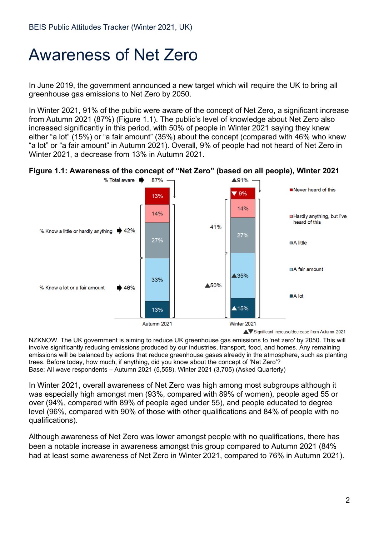## <span id="page-1-0"></span>Awareness of Net Zero

In June 2019, the government announced a new target which will require the UK to bring all greenhouse gas emissions to Net Zero by 2050.

In Winter 2021, 91% of the public were aware of the concept of Net Zero, a significant increase from Autumn 2021 (87%) (Figure 1.1). The public's level of knowledge about Net Zero also increased significantly in this period, with 50% of people in Winter 2021 saying they knew either "a lot" (15%) or "a fair amount" (35%) about the concept (compared with 46% who knew "a lot" or "a fair amount" in Autumn 2021). Overall, 9% of people had not heard of Net Zero in Winter 2021, a decrease from 13% in Autumn 2021.





NZKNOW. The UK government is aiming to reduce UK greenhouse gas emissions to 'net zero' by 2050. This will involve significantly reducing emissions produced by our industries, transport, food, and homes. Any remaining emissions will be balanced by actions that reduce greenhouse gases already in the atmosphere, such as planting trees. Before today, how much, if anything, did you know about the concept of 'Net Zero'? Base: All wave respondents – Autumn 2021 (5,558), Winter 2021 (3,705) (Asked Quarterly)

In Winter 2021, overall awareness of Net Zero was high among most subgroups although it was especially high amongst men (93%, compared with 89% of women), people aged 55 or over (94%, compared with 89% of people aged under 55), and people educated to degree level (96%, compared with 90% of those with other qualifications and 84% of people with no qualifications).

Although awareness of Net Zero was lower amongst people with no qualifications, there has been a notable increase in awareness amongst this group compared to Autumn 2021 (84% had at least some awareness of Net Zero in Winter 2021, compared to 76% in Autumn 2021).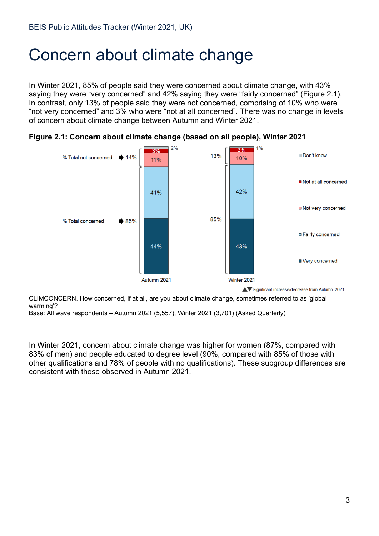## <span id="page-2-0"></span>Concern about climate change

In Winter 2021, 85% of people said they were concerned about climate change, with 43% saying they were "very concerned" and 42% saying they were "fairly concerned" (Figure 2.1). In contrast, only 13% of people said they were not concerned, comprising of 10% who were "not very concerned" and 3% who were "not at all concerned". There was no change in levels of concern about climate change between Autumn and Winter 2021.





Significant increase/decrease from Autumn 2021

CLIMCONCERN. How concerned, if at all, are you about climate change, sometimes referred to as 'global warming'?

Base: All wave respondents – Autumn 2021 (5,557), Winter 2021 (3,701) (Asked Quarterly)

In Winter 2021, concern about climate change was higher for women (87%, compared with 83% of men) and people educated to degree level (90%, compared with 85% of those with other qualifications and 78% of people with no qualifications). These subgroup differences are consistent with those observed in Autumn 2021.